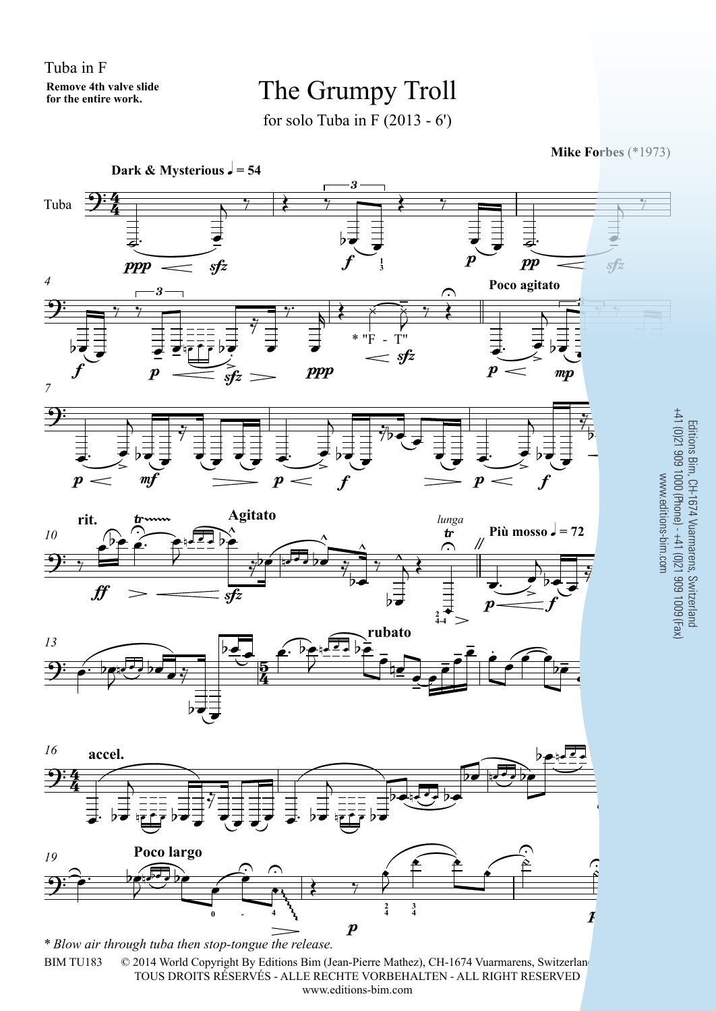Tuba in F**Remove 4th valve slidefor the entire work.**

## The Grumpy Troll

for solo Tuba in F  $(2013 - 6')$ 

**Mike Forbes** (\*1973)



© 2014 World Copyright By Editions Bim (Jean-Pierre Mathez), CH-1674 Vuarmarens, Switzerlan TOUS DROITS RÉSERVÉS - ALLE RECHTE VORBEHALTEN - ALL RIGHT RESERVEDwww.editions-bim.com*\* Blow air through tuba then stop-tongue the release.*BIM TU183

arens<br>| (0)21<br>n.com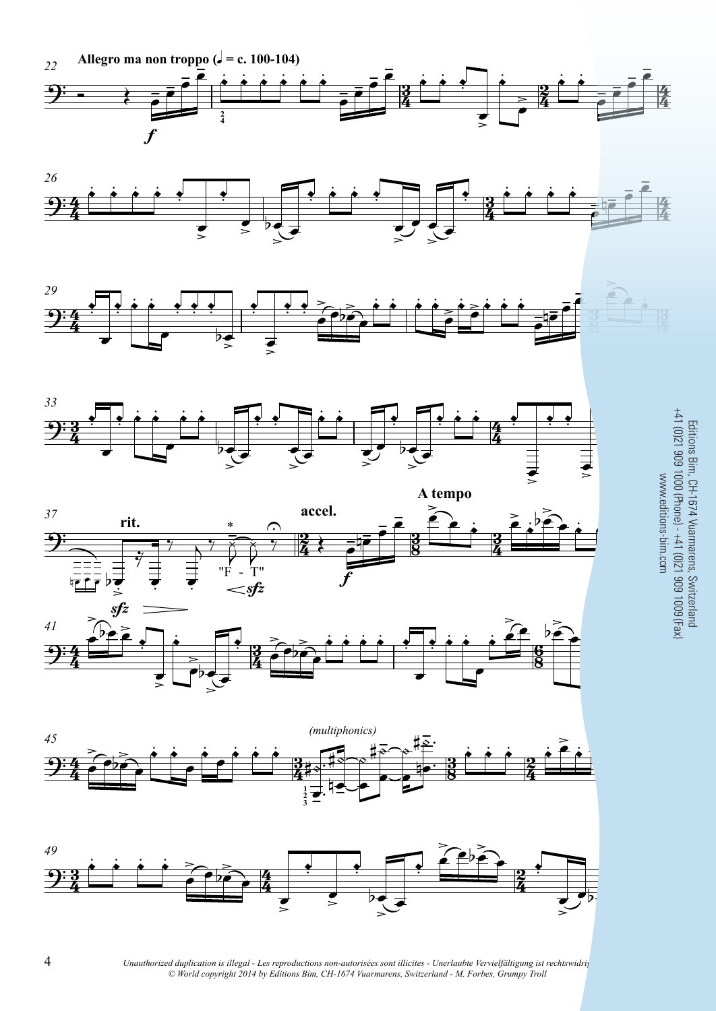















Editions Bim, CH-1674 Vuarmarens, Switzerland<br>+41 (0)21 909 1000 (Phone) - +41 (0)21 909 1009 (Fax) www.editions-bim.com

Unauthorized duplication is illegal - Les reproductions non-autorisées sont illicites - Unerlaubte Vervielfältigung ist rechtswidrig © World copyright 2014 by Editions Bim, CH-1674 Vuarmarens, Switzerland - M. Forbes, Grumpy Troll